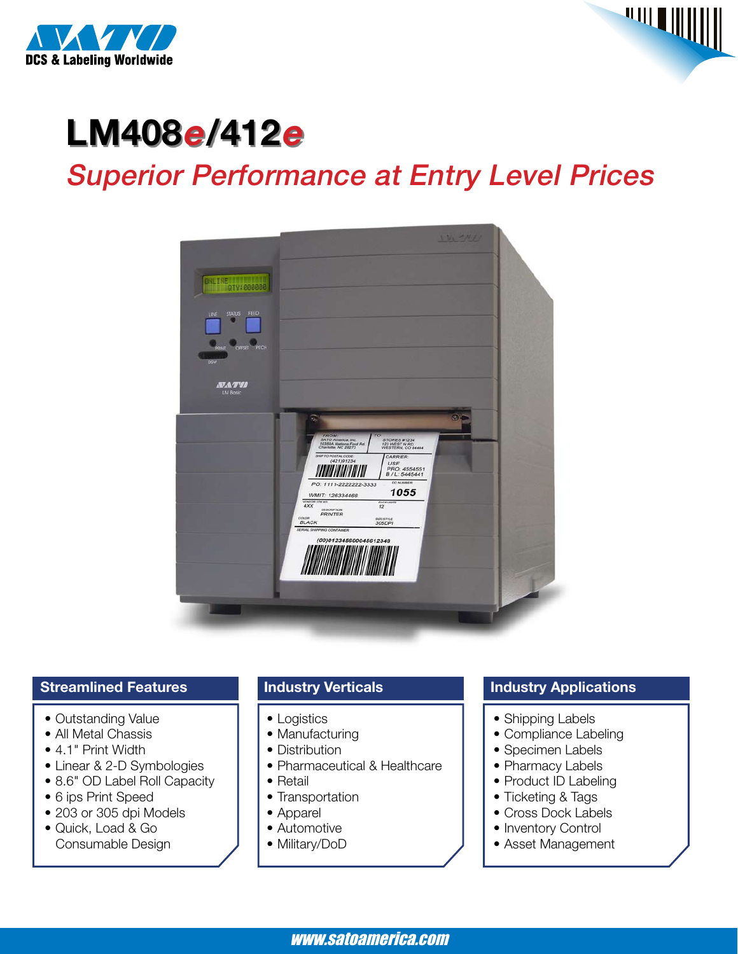



# **LM408e/412<sup>e</sup>** Superior Performance at Entry Level Prices



#### **Streamlined Features**

- Outstanding Value
- All Metal Chassis
- 4.1" Print Width
- Linear & 2-D Symbologies
- 8.6" OD Label Roll Capacity
- 6 ips Print Speed
- 203 or 305 dpi Models
- • Quick, Load & Go Consumable Design

### **Industry Verticals**

- Logistics
- Manufacturing
- Distribution
- Pharmaceutical & Healthcare
- Retail
- Transportation
- • Apparel
- Automotive
- Military/DoD

#### **Industry Applications**

- Shipping Labels
- Compliance Labeling
- Specimen Labels
- Pharmacy Labels
- Product ID Labeling
- Ticketing & Tags
- Cross Dock Labels
- Inventory Control
- Asset Management